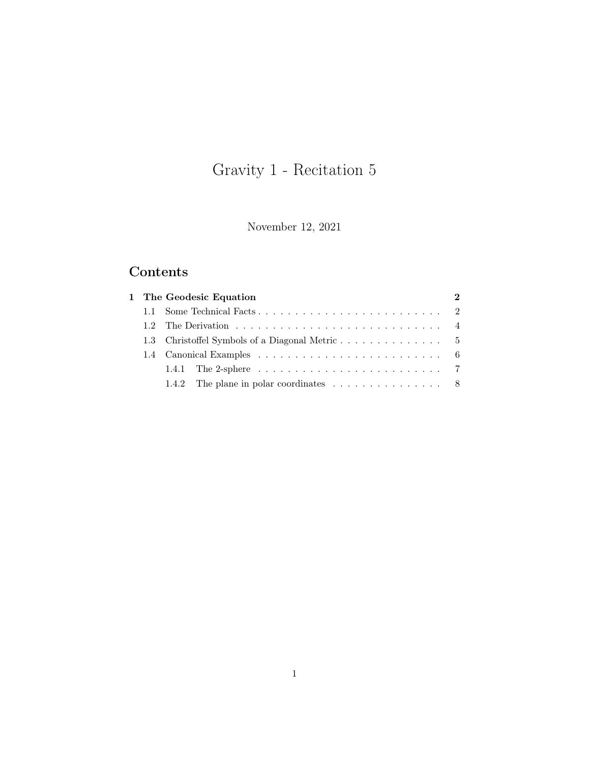# Gravity 1 - Recitation 5

November 12, 2021

## Contents

|  | 1 The Geodesic Equation                                              | 2 |
|--|----------------------------------------------------------------------|---|
|  |                                                                      |   |
|  |                                                                      |   |
|  |                                                                      |   |
|  |                                                                      |   |
|  |                                                                      |   |
|  | 1.4.2 The plane in polar coordinates $\ldots \ldots \ldots \ldots$ 8 |   |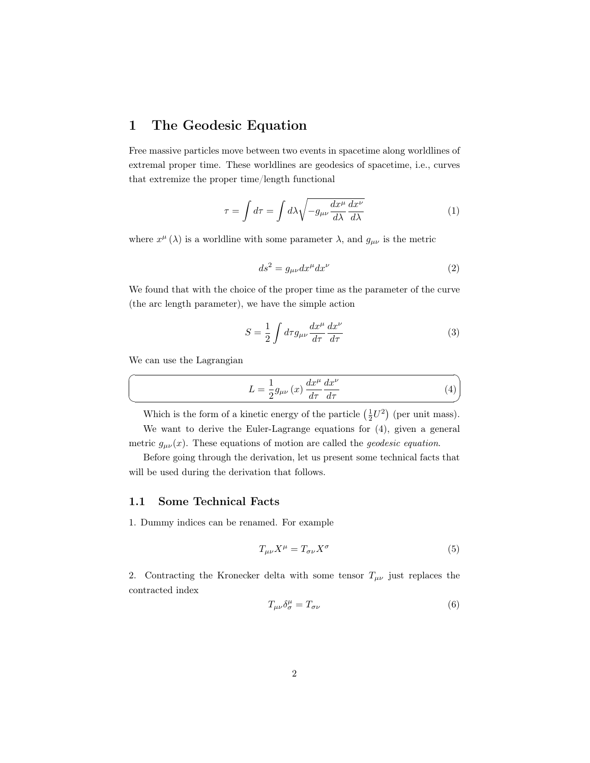### <span id="page-1-0"></span>1 The Geodesic Equation

Free massive particles move between two events in spacetime along worldlines of extremal proper time. These worldlines are geodesics of spacetime, i.e., curves that extremize the proper time/length functional

$$
\tau = \int d\tau = \int d\lambda \sqrt{-g_{\mu\nu} \frac{dx^{\mu}}{d\lambda} \frac{dx^{\nu}}{d\lambda}} \tag{1}
$$

where  $x^{\mu}(\lambda)$  is a worldline with some parameter  $\lambda$ , and  $g_{\mu\nu}$  is the metric

$$
ds^2 = g_{\mu\nu} dx^{\mu} dx^{\nu}
$$
 (2)

We found that with the choice of the proper time as the parameter of the curve (the arc length parameter), we have the simple action

$$
S = \frac{1}{2} \int d\tau g_{\mu\nu} \frac{dx^{\mu}}{d\tau} \frac{dx^{\nu}}{d\tau}
$$
 (3)

We can use the Lagrangian

☛

 $\searrow$ 

<span id="page-1-2"></span>
$$
L = \frac{1}{2} g_{\mu\nu} \left( x \right) \frac{dx^{\mu}}{d\tau} \frac{dx^{\nu}}{d\tau} \tag{4}
$$

✟

✠

Which is the form of a kinetic energy of the particle  $(\frac{1}{2}U^2)$  (per unit mass). We want to derive the Euler-Lagrange equations for [\(4\)](#page-1-2), given a general metric  $g_{\mu\nu}(x)$ . These equations of motion are called the *geodesic equation*.

Before going through the derivation, let us present some technical facts that will be used during the derivation that follows.

#### <span id="page-1-1"></span>1.1 Some Technical Facts

1. Dummy indices can be renamed. For example

$$
T_{\mu\nu}X^{\mu} = T_{\sigma\nu}X^{\sigma}
$$
\n<sup>(5)</sup>

2. Contracting the Kronecker delta with some tensor  $T_{\mu\nu}$  just replaces the contracted index

$$
T_{\mu\nu}\delta^{\mu}_{\sigma} = T_{\sigma\nu} \tag{6}
$$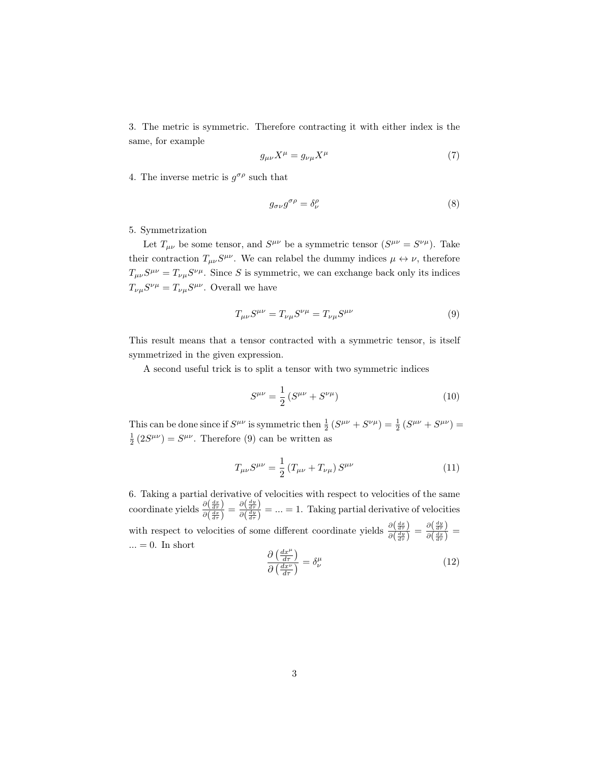3. The metric is symmetric. Therefore contracting it with either index is the same, for example

$$
g_{\mu\nu}X^{\mu} = g_{\nu\mu}X^{\mu} \tag{7}
$$

4. The inverse metric is  $g^{\sigma \rho}$  such that

$$
g_{\sigma\nu}g^{\sigma\rho} = \delta^{\rho}_{\nu} \tag{8}
$$

5. Symmetrization

Let  $T_{\mu\nu}$  be some tensor, and  $S^{\mu\nu}$  be a symmetric tensor  $(S^{\mu\nu} = S^{\nu\mu})$ . Take their contraction  $T_{\mu\nu}S^{\mu\nu}$ . We can relabel the dummy indices  $\mu \leftrightarrow \nu$ , therefore  $T_{\mu\nu}S^{\mu\nu} = T_{\nu\mu}S^{\nu\mu}$ . Since S is symmetric, we can exchange back only its indices  $T_{\nu\mu}S^{\nu\mu}=T_{\nu\mu}S^{\mu\nu}$ . Overall we have

<span id="page-2-0"></span>
$$
T_{\mu\nu}S^{\mu\nu} = T_{\nu\mu}S^{\nu\mu} = T_{\nu\mu}S^{\mu\nu} \tag{9}
$$

This result means that a tensor contracted with a symmetric tensor, is itself symmetrized in the given expression.

A second useful trick is to split a tensor with two symmetric indices

$$
S^{\mu\nu} = \frac{1}{2} \left( S^{\mu\nu} + S^{\nu\mu} \right) \tag{10}
$$

This can be done since if  $S^{\mu\nu}$  is symmetric then  $\frac{1}{2}(S^{\mu\nu} + S^{\nu\mu}) = \frac{1}{2}(S^{\mu\nu} + S^{\mu\nu}) =$  $\frac{1}{2}(2S^{\mu\nu}) = S^{\mu\nu}$ . Therefore [\(9\)](#page-2-0) can be written as

$$
T_{\mu\nu}S^{\mu\nu} = \frac{1}{2} \left( T_{\mu\nu} + T_{\nu\mu} \right) S^{\mu\nu} \tag{11}
$$

6. Taking a partial derivative of velocities with respect to velocities of the same coordinate yields  $\frac{\partial (\frac{dx}{d\tau})}{\partial (\frac{dx}{d\tau})}$  $\frac{\partial \left( \frac{dx}{d\tau} \right)}{\partial \left( \frac{dx}{d\tau} \right)} = \frac{\partial \left( \frac{dy}{d\tau} \right)}{\partial \left( \frac{dy}{d\tau} \right)}$  $\frac{\partial(\frac{dy}{d\tau})}{\partial(\frac{dy}{d\tau})} = ... = 1$ . Taking partial derivative of velocities with respect to velocities of some different coordinate yields  $\frac{\partial (\frac{dx}{d\tau})}{\partial d\tau}$  $\frac{\partial \left( \frac{dx}{d\tau} \right)}{\partial \left( \frac{dy}{d\tau} \right)} = \frac{\partial \left( \frac{dy}{d\tau} \right)}{\partial \left( \frac{dx}{d\tau} \right)}$  $\frac{\partial (\frac{\overline{d\tau}}{d\tau})}{\partial (\frac{dx}{d\tau})}=$  $\ldots=0.$  In short  $\mathbf{a}$ 

$$
\frac{\partial \left(\frac{dx^{\mu}}{d\tau}\right)}{\partial \left(\frac{dx^{\nu}}{d\tau}\right)} = \delta^{\mu}_{\nu} \tag{12}
$$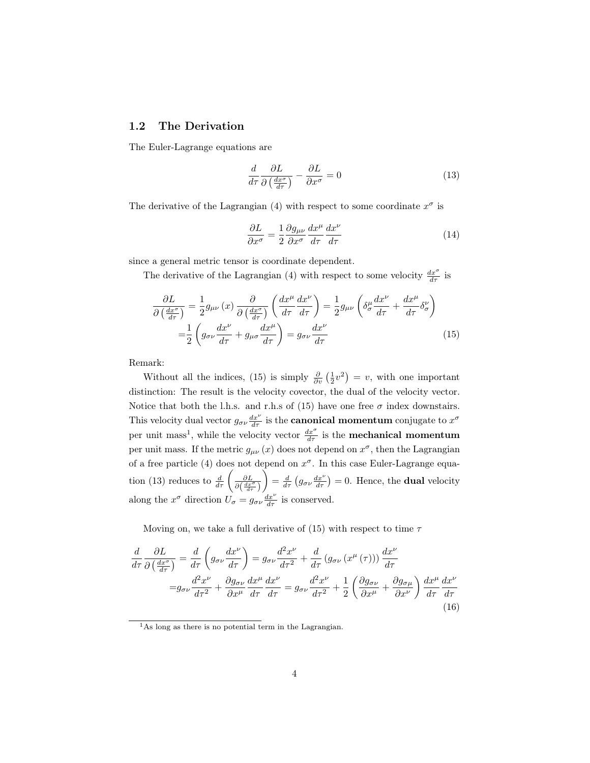#### <span id="page-3-0"></span>1.2 The Derivation

The Euler-Lagrange equations are

<span id="page-3-3"></span>
$$
\frac{d}{d\tau} \frac{\partial L}{\partial \left(\frac{dx^{\sigma}}{d\tau}\right)} - \frac{\partial L}{\partial x^{\sigma}} = 0
$$
\n(13)

The derivative of the Lagrangian [\(4\)](#page-1-2) with respect to some coordinate  $x^{\sigma}$  is

<span id="page-3-4"></span><span id="page-3-1"></span>
$$
\frac{\partial L}{\partial x^{\sigma}} = \frac{1}{2} \frac{\partial g_{\mu\nu}}{\partial x^{\sigma}} \frac{dx^{\mu}}{d\tau} \frac{dx^{\nu}}{d\tau}
$$
(14)

since a general metric tensor is coordinate dependent.

The derivative of the Lagrangian [\(4\)](#page-1-2) with respect to some velocity  $\frac{dx^{\sigma}}{d\tau}$  is

$$
\frac{\partial L}{\partial \left(\frac{dx^{\sigma}}{d\tau}\right)} = \frac{1}{2} g_{\mu\nu} \left(x\right) \frac{\partial}{\partial \left(\frac{dx^{\sigma}}{d\tau}\right)} \left(\frac{dx^{\mu}}{d\tau} \frac{dx^{\nu}}{d\tau}\right) = \frac{1}{2} g_{\mu\nu} \left(\delta^{\mu}_{\sigma} \frac{dx^{\nu}}{d\tau} + \frac{dx^{\mu}}{d\tau} \delta^{\nu}_{\sigma}\right)
$$

$$
= \frac{1}{2} \left(g_{\sigma\nu} \frac{dx^{\nu}}{d\tau} + g_{\mu\sigma} \frac{dx^{\mu}}{d\tau}\right) = g_{\sigma\nu} \frac{dx^{\nu}}{d\tau}
$$
(15)

Remark:

Without all the indices, [\(15\)](#page-3-1) is simply  $\frac{\partial}{\partial v} \left( \frac{1}{2} v^2 \right) = v$ , with one important distinction: The result is the velocity covector, the dual of the velocity vector. Notice that both the l.h.s. and r.h.s of [\(15\)](#page-3-1) have one free  $\sigma$  index downstairs. This velocity dual vector  $g_{\sigma\nu} \frac{dx^{\nu}}{d\tau}$  is the **canonical momentum** conjugate to  $x^{\sigma}$ per unit mass<sup>[1](#page-3-2)</sup>, while the velocity vector  $\frac{dx^{\sigma}}{d\tau}$  is the **mechanical momentum** per unit mass. If the metric  $g_{\mu\nu}(x)$  does not depend on  $x^{\sigma}$ , then the Lagrangian of a free particle [\(4\)](#page-1-2) does not depend on  $x^{\sigma}$ . In this case Euler-Lagrange equa-tion [\(13\)](#page-3-3) reduces to  $\frac{d}{d\tau} \left( \frac{\partial L}{\partial \left( \frac{dx^{\sigma}}{d\tau} \right)} \right)$  $\left( \int \frac{d\omega}{d\tau} \left( g_{\sigma\nu} \frac{dx^{\nu}}{d\tau} \right) = 0.$  Hence, the **dual** velocity along the  $x^{\sigma}$  direction  $U_{\sigma} = g_{\sigma\nu} \frac{dx^{\nu}}{d\tau}$  is conserved.

Moving on, we take a full derivative of [\(15\)](#page-3-1) with respect to time  $\tau$ 

$$
\frac{d}{d\tau}\frac{\partial L}{\partial\left(\frac{dx^{\sigma}}{d\tau}\right)} = \frac{d}{d\tau}\left(g_{\sigma\nu}\frac{dx^{\nu}}{d\tau}\right) = g_{\sigma\nu}\frac{d^{2}x^{\nu}}{d\tau^{2}} + \frac{d}{d\tau}\left(g_{\sigma\nu}\left(x^{\mu}\left(\tau\right)\right)\right)\frac{dx^{\nu}}{d\tau}
$$
\n
$$
= g_{\sigma\nu}\frac{d^{2}x^{\nu}}{d\tau^{2}} + \frac{\partial g_{\sigma\nu}}{\partial x^{\mu}}\frac{dx^{\mu}}{d\tau}\frac{dx^{\nu}}{d\tau} = g_{\sigma\nu}\frac{d^{2}x^{\nu}}{d\tau^{2}} + \frac{1}{2}\left(\frac{\partial g_{\sigma\nu}}{\partial x^{\mu}} + \frac{\partial g_{\sigma\mu}}{\partial x^{\nu}}\right)\frac{dx^{\mu}}{d\tau}\frac{dx^{\nu}}{d\tau}
$$
\n(16)

<span id="page-3-2"></span><sup>1</sup>As long as there is no potential term in the Lagrangian.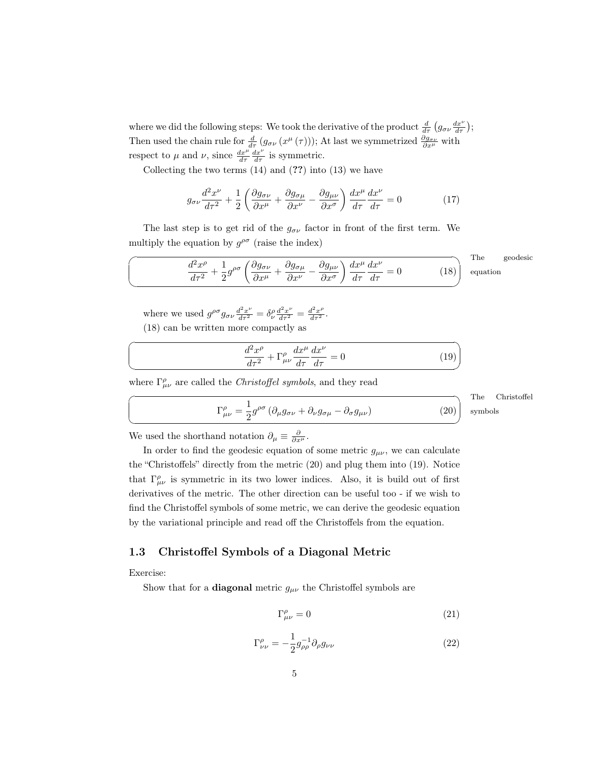where we did the following steps: We took the derivative of the product  $\frac{d}{d\tau} (g_{\sigma\nu} \frac{dx^{\nu}}{d\tau});$ Then used the chain rule for  $\frac{d}{d\tau}(g_{\sigma\nu}(x^{\mu}(\tau)))$ ; At last we symmetrized  $\frac{\partial g_{\sigma\nu}}{\partial x^{\mu}}$  with respect to  $\mu$  and  $\nu$ , since  $\frac{dx^{\mu}}{d\tau} \frac{dx^{\nu}}{d\tau}$  is symmetric.

Collecting the two terms  $(14)$  and  $(??)$  into  $(13)$  we have

$$
g_{\sigma\nu}\frac{d^2x^{\nu}}{d\tau^2} + \frac{1}{2}\left(\frac{\partial g_{\sigma\nu}}{\partial x^{\mu}} + \frac{\partial g_{\sigma\mu}}{\partial x^{\nu}} - \frac{\partial g_{\mu\nu}}{\partial x^{\sigma}}\right)\frac{dx^{\mu}}{d\tau}\frac{dx^{\nu}}{d\tau} = 0
$$
 (17)

The last step is to get rid of the  $g_{\sigma\nu}$  factor in front of the first term. We multiply the equation by  $g^{\rho\sigma}$  (raise the index)

<span id="page-4-1"></span>

| $d^2x^{\rho}$                                                                                                                                                                                                                                                                                               | The      | geodesic |
|-------------------------------------------------------------------------------------------------------------------------------------------------------------------------------------------------------------------------------------------------------------------------------------------------------------|----------|----------|
| $\partial g_{\mu\nu} \setminus dx^{\mu} dx^{\nu}$<br>$\partial g_{\sigma\nu}$ $\partial g_{\sigma\mu}$<br>$=$ + $\frac{1}{2}a^{\rho\sigma}$ / $\gamma$<br>$\overline{\phantom{a}}$<br>$\overline{\partial x^{\nu}}$<br>$d\tau^2$<br>$\partial x^{\sigma}$   $d\tau$ $d\tau$<br>ച<br>$\partial x^{\mu}$<br>- | equation |          |
|                                                                                                                                                                                                                                                                                                             |          |          |

where we used  $g^{\rho\sigma}g_{\sigma\nu}\frac{d^2x^{\nu}}{d\tau^2} = \delta^{\rho}_{\nu}\frac{d^2x^{\nu}}{d\tau^2} = \frac{d^2x^{\rho}}{d\tau^2}.$ [\(18\)](#page-4-1) can be written more compactly as

<span id="page-4-3"></span>
$$
\frac{d^2x^{\rho}}{d\tau^2} + \Gamma^{\rho}_{\mu\nu}\frac{dx^{\mu}}{d\tau}\frac{dx^{\nu}}{d\tau} = 0
$$
\n(19)

 $\frac{1}{2}g^{\rho\sigma}(\partial_{\mu}g_{\sigma\nu}+\partial_{\nu}g_{\sigma\mu}-\partial_{\sigma}g_{\mu\nu})$  (20)

where  $\Gamma^{\rho}_{\mu\nu}$  are called the *Christoffel symbols*, and they read

The Christoffel symbols

✟

✠

 $\searrow$ We used the shorthand notation  $\partial_{\mu} \equiv \frac{\partial}{\partial x^{\mu}}$ .

<span id="page-4-2"></span> $\Gamma^{\rho}_{\mu\nu} = \frac{1}{2}$ 

In order to find the geodesic equation of some metric  $g_{\mu\nu},$  we can calculate the "Christoffels" directly from the metric [\(20\)](#page-4-2) and plug them into [\(19\)](#page-4-3). Notice that  $\Gamma^{\rho}_{\mu\nu}$  is symmetric in its two lower indices. Also, it is build out of first derivatives of the metric. The other direction can be useful too - if we wish to find the Christoffel symbols of some metric, we can derive the geodesic equation by the variational principle and read off the Christoffels from the equation.

#### <span id="page-4-0"></span>1.3 Christoffel Symbols of a Diagonal Metric

Exercise:

 $\overline{a}$ 

 $\searrow$ 

☛

Show that for a **diagonal** metric  $g_{\mu\nu}$  the Christoffel symbols are

$$
\Gamma^{\rho}_{\mu\nu} = 0 \tag{21}
$$

<span id="page-4-4"></span>
$$
\Gamma^{\rho}_{\nu\nu} = -\frac{1}{2} g^{-1}_{\rho\rho} \partial_{\rho} g_{\nu\nu} \tag{22}
$$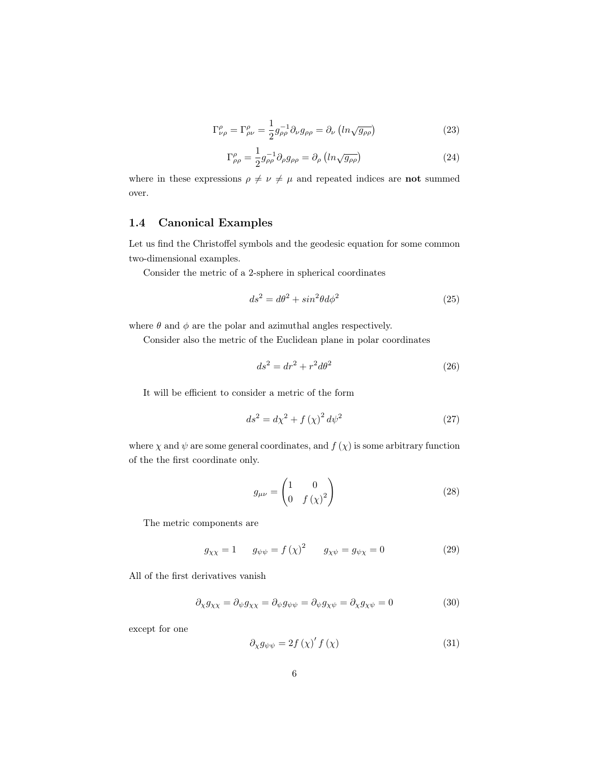<span id="page-5-1"></span>
$$
\Gamma^{\rho}_{\nu\rho} = \Gamma^{\rho}_{\rho\nu} = \frac{1}{2} g^{-1}_{\rho\rho} \partial_{\nu} g_{\rho\rho} = \partial_{\nu} \left( ln \sqrt{g_{\rho\rho}} \right)
$$
(23)

$$
\Gamma^{\rho}_{\rho\rho} = \frac{1}{2} g^{-1}_{\rho\rho} \partial_{\rho} g_{\rho\rho} = \partial_{\rho} \left( ln \sqrt{g_{\rho\rho}} \right)
$$
 (24)

where in these expressions  $\rho \neq \nu \neq \mu$  and repeated indices are **not** summed over.

#### <span id="page-5-0"></span>1.4 Canonical Examples

Let us find the Christoffel symbols and the geodesic equation for some common two-dimensional examples.

Consider the metric of a 2-sphere in spherical coordinates

$$
ds^2 = d\theta^2 + \sin^2\theta d\phi^2 \tag{25}
$$

where  $\theta$  and  $\phi$  are the polar and azimuthal angles respectively.

Consider also the metric of the Euclidean plane in polar coordinates

$$
ds^2 = dr^2 + r^2 d\theta^2 \tag{26}
$$

It will be efficient to consider a metric of the form

$$
ds^2 = d\chi^2 + f\left(\chi\right)^2 d\psi^2\tag{27}
$$

where  $\chi$  and  $\psi$  are some general coordinates, and  $f\left(\chi\right)$  is some arbitrary function of the the first coordinate only.

$$
g_{\mu\nu} = \begin{pmatrix} 1 & 0 \\ 0 & f(\chi)^2 \end{pmatrix} \tag{28}
$$

The metric components are

$$
g_{\chi\chi} = 1 \t g_{\psi\psi} = f(\chi)^2 \t g_{\chi\psi} = g_{\psi\chi} = 0
$$
 (29)

All of the first derivatives vanish

$$
\partial_{\chi} g_{\chi\chi} = \partial_{\psi} g_{\chi\chi} = \partial_{\psi} g_{\psi\psi} = \partial_{\psi} g_{\chi\psi} = \partial_{\chi} g_{\chi\psi} = 0 \tag{30}
$$

except for one

$$
\partial_{\chi} g_{\psi\psi} = 2f(\chi)' f(\chi) \tag{31}
$$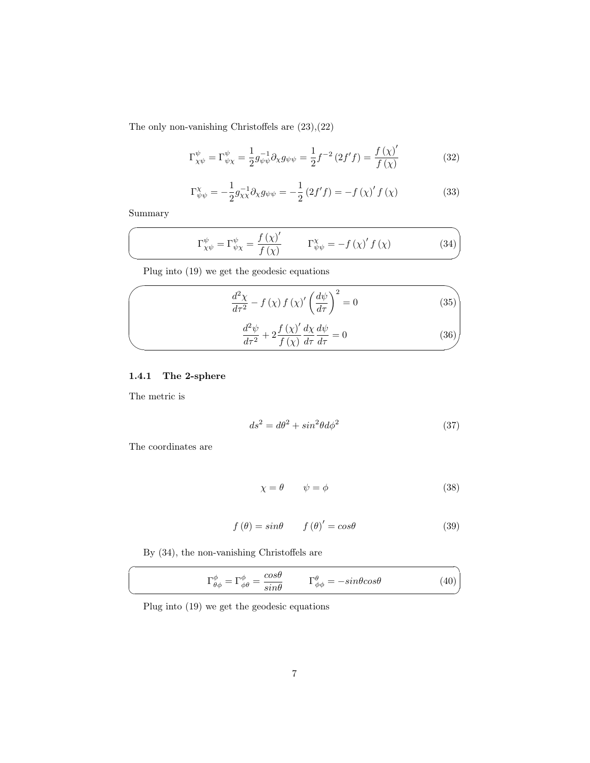The only non-vanishing Christoffels are [\(23\)](#page-5-1),[\(22\)](#page-4-4)

$$
\Gamma^{\psi}_{\chi\psi} = \Gamma^{\psi}_{\psi\chi} = \frac{1}{2} g^{-1}_{\psi\psi} \partial_{\chi} g_{\psi\psi} = \frac{1}{2} f^{-2} (2f'f) = \frac{f(\chi)'}{f(\chi)}
$$
(32)

<span id="page-6-1"></span>
$$
\Gamma_{\psi\psi}^{\chi} = -\frac{1}{2}g_{\chi\chi}^{-1}\partial_{\chi}g_{\psi\psi} = -\frac{1}{2}(2f'f) = -f(\chi)'f(\chi)
$$
 (33)

Summary

$$
\Gamma^{\psi}_{\chi\psi} = \Gamma^{\psi}_{\psi\chi} = \frac{f(\chi)'}{f(\chi)} \qquad \Gamma^{\chi}_{\psi\psi} = -f(\chi)'f(\chi) \tag{34}
$$

Plug into [\(19\)](#page-4-3) we get the geodesic equations

$$
\frac{d^2\chi}{d\tau^2} - f(\chi) f(\chi)' \left(\frac{d\psi}{d\tau}\right)^2 = 0
$$
\n(35)\n
$$
\frac{d^2\psi}{d\tau^2} + 2\frac{f(\chi)'}{f(\chi)} \frac{d\chi}{d\tau} \frac{d\psi}{d\tau} = 0
$$
\n(36)

#### <span id="page-6-0"></span>1.4.1 The 2-sphere

The metric is

☛

 $\searrow$ 

$$
ds^2 = d\theta^2 + \sin^2\theta d\phi^2 \tag{37}
$$

The coordinates are

$$
\chi = \theta \qquad \psi = \phi \tag{38}
$$

$$
f(\theta) = \sin \theta \qquad f(\theta)' = \cos \theta \tag{39}
$$

By [\(34\)](#page-6-1), the non-vanishing Christoffels are

$$
\Gamma^{\phi}_{\theta\phi} = \Gamma^{\phi}_{\phi\theta} = \frac{\cos\theta}{\sin\theta} \qquad \Gamma^{\theta}_{\phi\phi} = -\sin\theta\cos\theta \tag{40}
$$

Plug into [\(19\)](#page-4-3) we get the geodesic equations